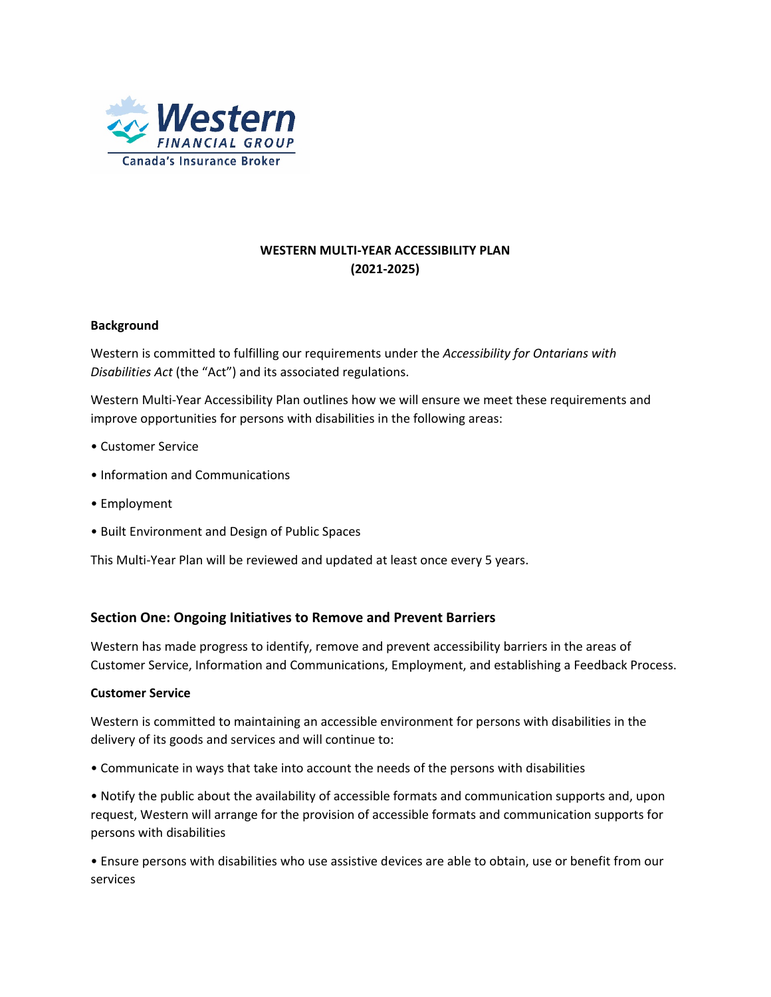

# **WESTERN MULTI-YEAR ACCESSIBILITY PLAN (2021-2025)**

# **Background**

Western is committed to fulfilling our requirements under the *Accessibility for Ontarians with Disabilities Act* (the "Act") and its associated regulations.

Western Multi-Year Accessibility Plan outlines how we will ensure we meet these requirements and improve opportunities for persons with disabilities in the following areas:

- Customer Service
- Information and Communications
- Employment
- Built Environment and Design of Public Spaces

This Multi-Year Plan will be reviewed and updated at least once every 5 years.

# **Section One: Ongoing Initiatives to Remove and Prevent Barriers**

Western has made progress to identify, remove and prevent accessibility barriers in the areas of Customer Service, Information and Communications, Employment, and establishing a Feedback Process.

# **Customer Service**

Western is committed to maintaining an accessible environment for persons with disabilities in the delivery of its goods and services and will continue to:

• Communicate in ways that take into account the needs of the persons with disabilities

• Notify the public about the availability of accessible formats and communication supports and, upon request, Western will arrange for the provision of accessible formats and communication supports for persons with disabilities

• Ensure persons with disabilities who use assistive devices are able to obtain, use or benefit from our services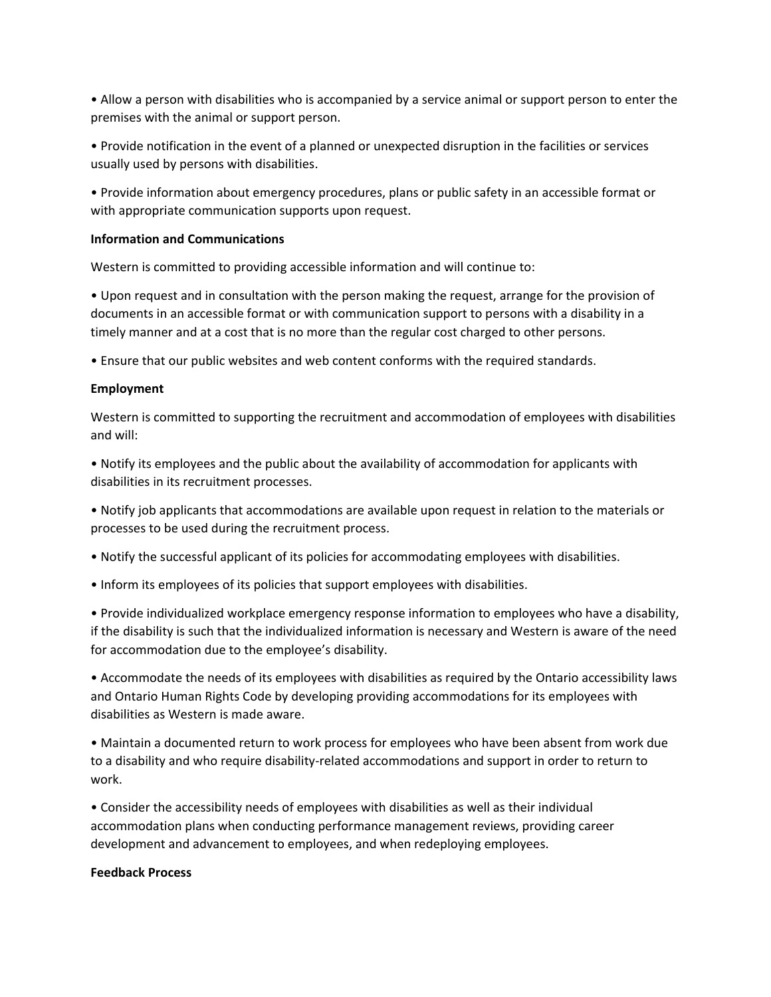• Allow a person with disabilities who is accompanied by a service animal or support person to enter the premises with the animal or support person.

• Provide notification in the event of a planned or unexpected disruption in the facilities or services usually used by persons with disabilities.

• Provide information about emergency procedures, plans or public safety in an accessible format or with appropriate communication supports upon request.

# **Information and Communications**

Western is committed to providing accessible information and will continue to:

• Upon request and in consultation with the person making the request, arrange for the provision of documents in an accessible format or with communication support to persons with a disability in a timely manner and at a cost that is no more than the regular cost charged to other persons.

• Ensure that our public websites and web content conforms with the required standards.

#### **Employment**

Western is committed to supporting the recruitment and accommodation of employees with disabilities and will:

• Notify its employees and the public about the availability of accommodation for applicants with disabilities in its recruitment processes.

• Notify job applicants that accommodations are available upon request in relation to the materials or processes to be used during the recruitment process.

- Notify the successful applicant of its policies for accommodating employees with disabilities.
- Inform its employees of its policies that support employees with disabilities.

• Provide individualized workplace emergency response information to employees who have a disability, if the disability is such that the individualized information is necessary and Western is aware of the need for accommodation due to the employee's disability.

• Accommodate the needs of its employees with disabilities as required by the Ontario accessibility laws and Ontario Human Rights Code by developing providing accommodations for its employees with disabilities as Western is made aware.

• Maintain a documented return to work process for employees who have been absent from work due to a disability and who require disability-related accommodations and support in order to return to work.

• Consider the accessibility needs of employees with disabilities as well as their individual accommodation plans when conducting performance management reviews, providing career development and advancement to employees, and when redeploying employees.

#### **Feedback Process**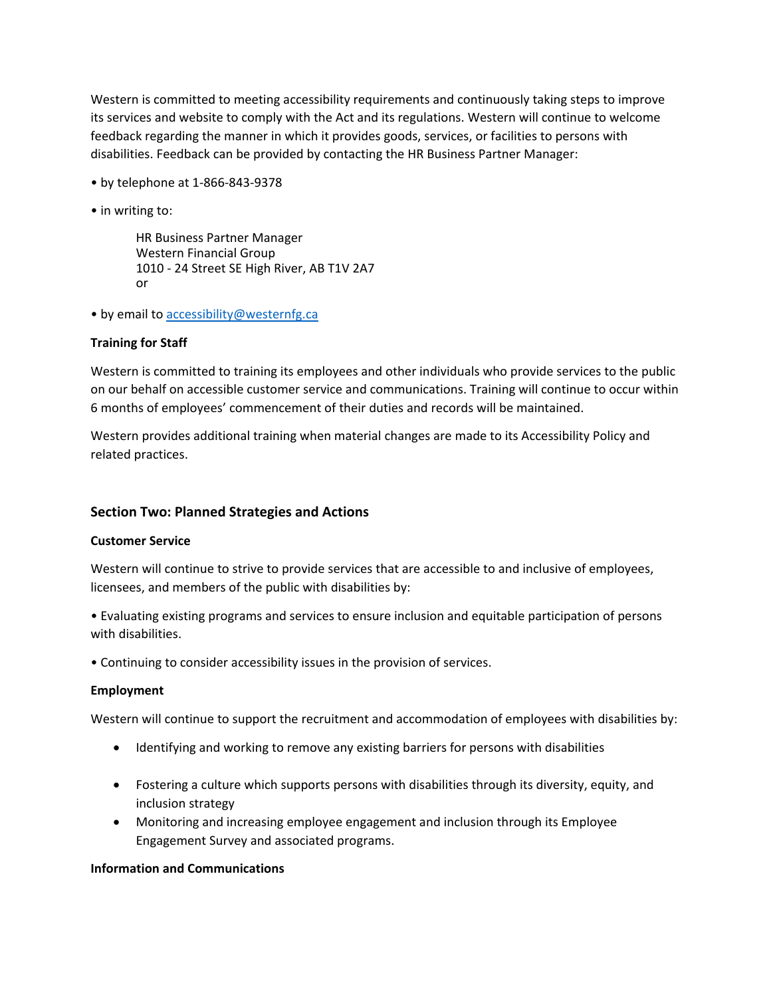Western is committed to meeting accessibility requirements and continuously taking steps to improve its services and website to comply with the Act and its regulations. Western will continue to welcome feedback regarding the manner in which it provides goods, services, or facilities to persons with disabilities. Feedback can be provided by contacting the HR Business Partner Manager:

- by telephone at 1-866-843-9378
- in writing to:

HR Business Partner Manager Western Financial Group 1010 - 24 Street SE High River, AB T1V 2A7 or

• by email to [accessibility@westernfg.ca](mailto:accessibility@westernfg.ca) 

#### **Training for Staff**

Western is committed to training its employees and other individuals who provide services to the public on our behalf on accessible customer service and communications. Training will continue to occur within 6 months of employees' commencement of their duties and records will be maintained.

Western provides additional training when material changes are made to its Accessibility Policy and related practices.

# **Section Two: Planned Strategies and Actions**

#### **Customer Service**

Western will continue to strive to provide services that are accessible to and inclusive of employees, licensees, and members of the public with disabilities by:

• Evaluating existing programs and services to ensure inclusion and equitable participation of persons with disabilities.

• Continuing to consider accessibility issues in the provision of services.

#### **Employment**

Western will continue to support the recruitment and accommodation of employees with disabilities by:

- Identifying and working to remove any existing barriers for persons with disabilities
- Fostering a culture which supports persons with disabilities through its diversity, equity, and inclusion strategy
- Monitoring and increasing employee engagement and inclusion through its Employee Engagement Survey and associated programs.

#### **Information and Communications**